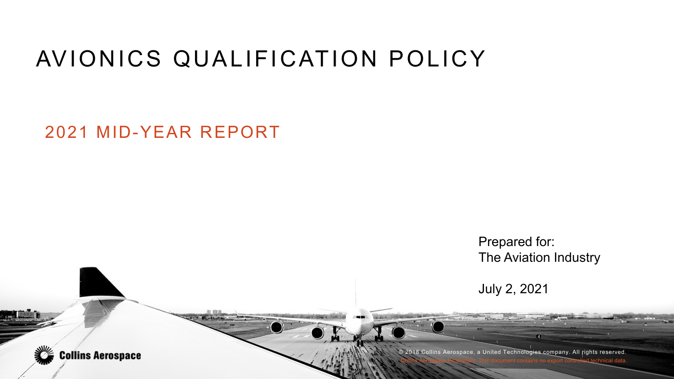#### AVIONICS QUALIFICATION POLICY

2021 MID-YEAR REPORT

**Collins Aerospace** 

Prepared for: The Aviation Industry

July 2, 2021

© 2018 Collins Aerospace, a United Technologies company. All rights reserved. Collins Aerospace Proprietary. This document contains no export controlled technical data.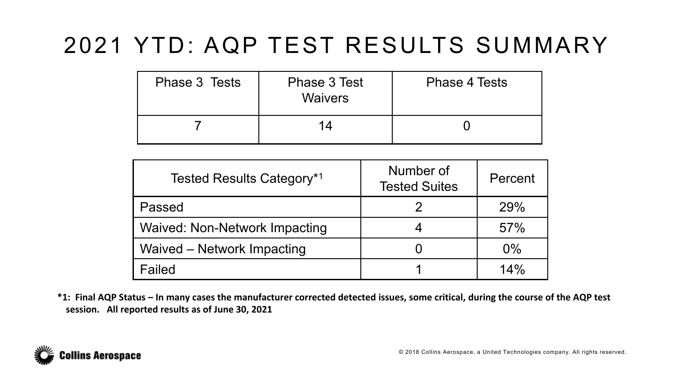### 2021 YTD: AQP TEST RESULTS SUMMARY

| Phase 3 Tests | Phase 3 Test<br><b>Waivers</b> | <b>Phase 4 Tests</b> |
|---------------|--------------------------------|----------------------|
|               | 14                             |                      |

| Tested Results Category*1            | Number of<br><b>Tested Suites</b> | Percent |
|--------------------------------------|-----------------------------------|---------|
| Passed                               |                                   | 29%     |
| <b>Waived: Non-Network Impacting</b> |                                   | 57%     |
| Waived – Network Impacting           |                                   | $0\%$   |
| Failed                               |                                   | 14%     |

**\*1: Final AQP Status – In many cases the manufacturer corrected detected issues, some critical, during the course of the AQP test session. All reported results as of June 30, 2021**

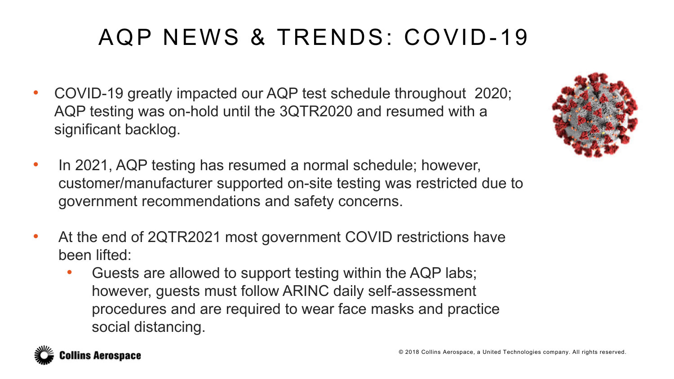# AQP NEWS & TRENDS: COVID-19

- COVID-19 greatly impacted our AQP test schedule throughout 2020; AQP testing was on-hold until the 3QTR2020 and resumed with a significant backlog.
- In 2021, AQP testing has resumed a normal schedule; however, customer/manufacturer supported on-site testing was restricted due to government recommendations and safety concerns.
- At the end of 2QTR2021 most government COVID restrictions have been lifted:
	- Guests are allowed to support testing within the AQP labs; however, guests must follow ARINC daily self-assessment procedures and are required to wear face masks and practice social distancing.



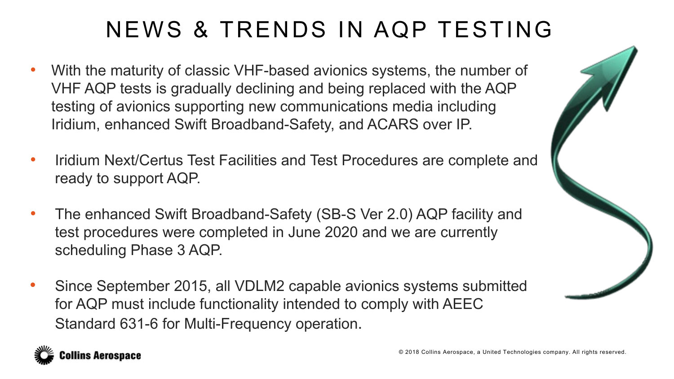## NEWS & TRENDS IN AQP TESTING

- With the maturity of classic VHF-based avionics systems, the number of VHF AQP tests is gradually declining and being replaced with the AQP testing of avionics supporting new communications media including Iridium, enhanced Swift Broadband-Safety, and ACARS over IP.
- Iridium Next/Certus Test Facilities and Test Procedures are complete and ready to support AQP.
- The enhanced Swift Broadband-Safety (SB-S Ver 2.0) AQP facility and test procedures were completed in June 2020 and we are currently scheduling Phase 3 AQP.
- Since September 2015, all VDLM2 capable avionics systems submitted for AQP must include functionality intended to comply with AEEC Standard 631-6 for Multi-Frequency operation.



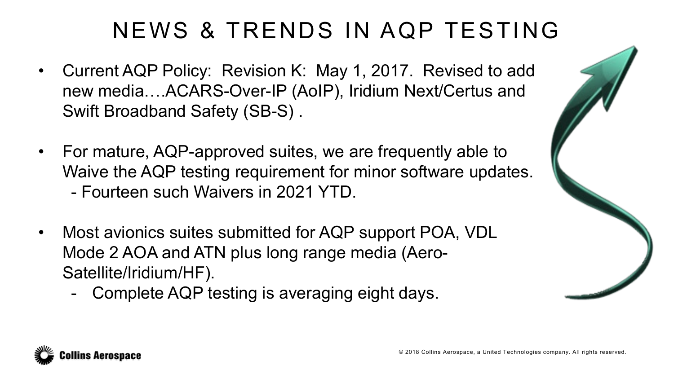### NEWS & TRENDS IN AQP TESTING

- Current AQP Policy: Revision K: May 1, 2017. Revised to add new media….ACARS-Over-IP (AoIP), Iridium Next/Certus and Swift Broadband Safety (SB-S) .
- For mature, AQP-approved suites, we are frequently able to Waive the AQP testing requirement for minor software updates. - Fourteen such Waivers in 2021 YTD.
- Most avionics suites submitted for AQP support POA, VDL Mode 2 AOA and ATN plus long range media (Aero-Satellite/Iridium/HF).
	- Complete AQP testing is averaging eight days.



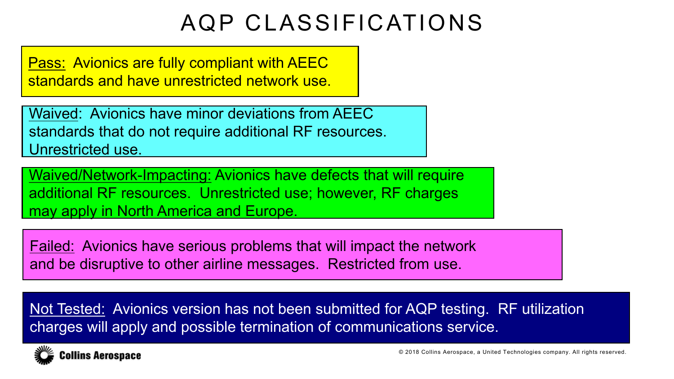#### AQP CLASSIFICATIONS

Pass: Avionics are fully compliant with AEEC standards and have unrestricted network use.

Waived: Avionics have minor deviations from AEEC standards that do not require additional RF resources. Unrestricted use.

Waived/Network-Impacting: Avionics have defects that will require additional RF resources. Unrestricted use; however, RF charges may apply in North America and Europe.

Failed: Avionics have serious problems that will impact the network and be disruptive to other airline messages. Restricted from use.

Not Tested: Avionics version has not been submitted for AQP testing. RF utilization charges will apply and possible termination of communications service.



© 2018 Collins Aerospace, a United Technologies company. All rights reserved.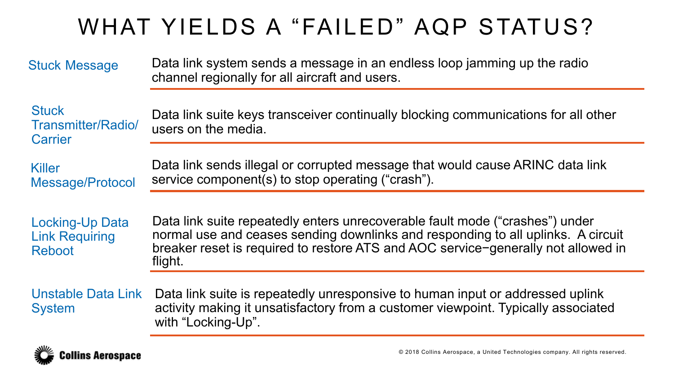### WHAT YIELDS A "FAILED" AQP STATUS?

| <b>Stuck Message</b>                                             | Data link system sends a message in an endless loop jamming up the radio<br>channel regionally for all aircraft and users.                                                                                                                                       |
|------------------------------------------------------------------|------------------------------------------------------------------------------------------------------------------------------------------------------------------------------------------------------------------------------------------------------------------|
| <b>Stuck</b><br>Transmitter/Radio/<br><b>Carrier</b>             | Data link suite keys transceiver continually blocking communications for all other<br>users on the media.                                                                                                                                                        |
| <b>Killer</b><br>Message/Protocol                                | Data link sends illegal or corrupted message that would cause ARINC data link<br>service component(s) to stop operating ("crash").                                                                                                                               |
| <b>Locking-Up Data</b><br><b>Link Requiring</b><br><b>Reboot</b> | Data link suite repeatedly enters unrecoverable fault mode ("crashes") under<br>normal use and ceases sending downlinks and responding to all uplinks. A circuit<br>breaker reset is required to restore ATS and AOC service-generally not allowed in<br>flight. |
| <b>Unstable Data Link</b><br><b>System</b>                       | Data link suite is repeatedly unresponsive to human input or addressed uplink<br>activity making it unsatisfactory from a customer viewpoint. Typically associated<br>with "Locking-Up".                                                                         |